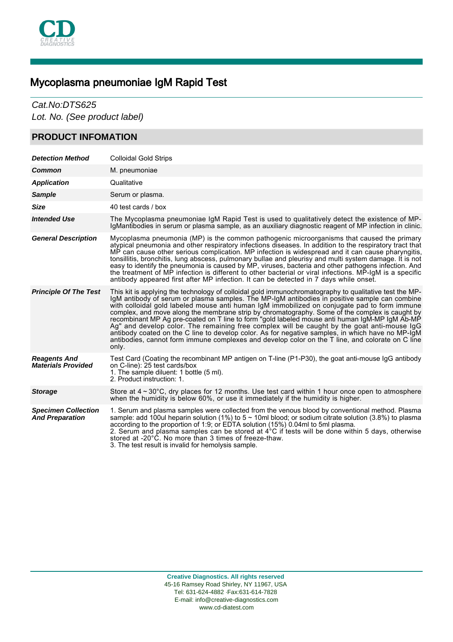

# Mycoplasma pneumoniae IgM Rapid Test

# Cat.No:DTS625

Lot. No. (See product label)

## **PRODUCT INFOMATION**

| <b>Detection Method</b>                              | <b>Colloidal Gold Strips</b>                                                                                                                                                                                                                                                                                                                                                                                                                                                                                                                                                                                                                                                                                                                                                                                                |
|------------------------------------------------------|-----------------------------------------------------------------------------------------------------------------------------------------------------------------------------------------------------------------------------------------------------------------------------------------------------------------------------------------------------------------------------------------------------------------------------------------------------------------------------------------------------------------------------------------------------------------------------------------------------------------------------------------------------------------------------------------------------------------------------------------------------------------------------------------------------------------------------|
| Common                                               | M. pneumoniae                                                                                                                                                                                                                                                                                                                                                                                                                                                                                                                                                                                                                                                                                                                                                                                                               |
| <b>Application</b>                                   | Qualitative                                                                                                                                                                                                                                                                                                                                                                                                                                                                                                                                                                                                                                                                                                                                                                                                                 |
| <b>Sample</b>                                        | Serum or plasma.                                                                                                                                                                                                                                                                                                                                                                                                                                                                                                                                                                                                                                                                                                                                                                                                            |
| <b>Size</b>                                          | 40 test cards / box                                                                                                                                                                                                                                                                                                                                                                                                                                                                                                                                                                                                                                                                                                                                                                                                         |
| <b>Intended Use</b>                                  | The Mycoplasma pneumoniae IgM Rapid Test is used to qualitatively detect the existence of MP-<br>IgMantibodies in serum or plasma sample, as an auxiliary diagnostic reagent of MP infection in clinic.                                                                                                                                                                                                                                                                                                                                                                                                                                                                                                                                                                                                                     |
| <b>General Description</b>                           | Mycoplasma pneumonia (MP) is the common pathogenic microorganisms that caused the primary<br>atypical pneumonia and other respiratory infections diseases. In addition to the respiratory tract that<br>MP can cause other serious complication. MP infection is widespread and it can cause pharyngitis,<br>tonsillitis, bronchitis, lung abscess, pulmonary bullae and pleurisy and multi system damage. It is not<br>easy to identify the pneumonia is caused by MP, viruses, bacteria and other pathogens infection. And<br>the treatment of MP infection is different to other bacterial or viral infections. MP-IgM is a specific<br>antibody appeared first after MP infection. It can be detected in 7 days while onset.                                                                                            |
| <b>Principle Of The Test</b>                         | This kit is applying the technology of colloidal gold immunochromatography to qualitative test the MP-<br>IgM antibody of serum or plasma samples. The MP-IgM antibodies in positive sample can combine<br>with colloidal gold labeled mouse anti human IgM immobilized on conjugate pad to form immune<br>complex, and move along the membrane strip by chromatography. Some of the complex is caught by<br>recombinant MP Ag pre-coated on T line to form "gold labeled mouse anti human IgM-MP IgM Ab-MP<br>Ag" and develop color. The remaining free complex will be caught by the goat anti-mouse IgG<br>antibody coated on the C line to develop color. As for negative samples, in which have no MP-IgM<br>antibodies, cannot form immune complexes and develop color on the T line, and colorate on C line<br>only. |
| <b>Reagents And</b><br><b>Materials Provided</b>     | Test Card (Coating the recombinant MP antigen on T-line (P1-P30), the goat anti-mouse IgG antibody<br>on C-line): 25 test cards/box<br>1. The sample diluent: 1 bottle (5 ml).<br>2. Product instruction: 1.                                                                                                                                                                                                                                                                                                                                                                                                                                                                                                                                                                                                                |
| <b>Storage</b>                                       | Store at $4 \sim 30^{\circ}$ C, dry places for 12 months. Use test card within 1 hour once open to atmosphere<br>when the humidity is below 60%, or use it immediately if the humidity is higher.                                                                                                                                                                                                                                                                                                                                                                                                                                                                                                                                                                                                                           |
| <b>Specimen Collection</b><br><b>And Preparation</b> | 1. Serum and plasma samples were collected from the venous blood by conventional method. Plasma<br>sample: add 100ul heparin solution (1%) to $5 \sim 10$ ml blood; or sodium citrate solution (3.8%) to plasma<br>according to the proportion of 1:9; or EDTA solution (15%) 0.04ml to 5ml plasma.<br>2. Serum and plasma samples can be stored at $4^{\circ}$ C if tests will be done within 5 days, otherwise<br>stored at -20°C. No more than 3 times of freeze-thaw.<br>3. The test result is invalid for hemolysis sample.                                                                                                                                                                                                                                                                                            |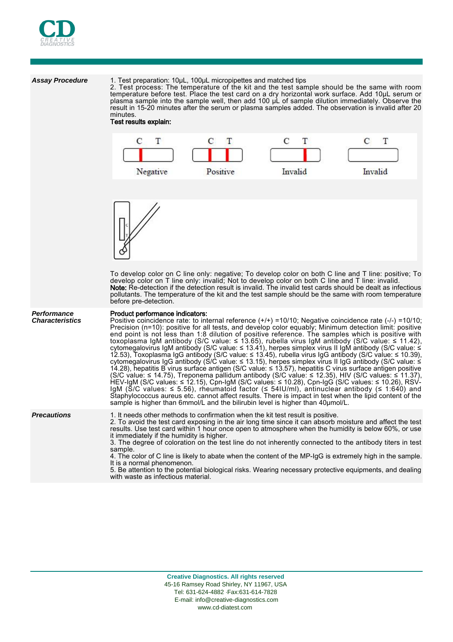

## **Assay Procedure** 1. Test preparation: 10μL, 100μL micropipettes and matched tips

2. Test process: The temperature of the kit and the test sample should be the same with room temperature before test. Place the test card on a dry horizontal work surface. Add 10μL serum or plasma sample into the sample well, then add 100 μL of sample dilution immediately. Observe the result in 15-20 minutes after the serum or plasma samples added. The observation is invalid after 20 minutes.

## Test results explain:



5. Be attention to the potential biological risks. Wearing necessary protective equipments, and dealing with waste as infectious material.